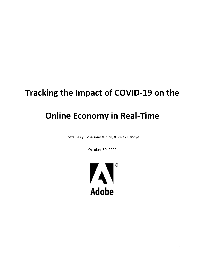## **Tracking the Impact of COVID-19 on the**

# **Online Economy in Real-Time**

Costa Lasiy, Losaunne White, & Vivek Pandya

October 30, 2020

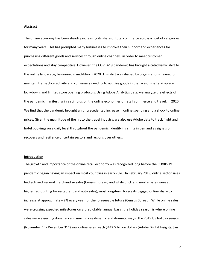#### **Abstract**

The online economy has been steadily increasing its share of total commerce across a host of categories, for many years. This has prompted many businesses to improve their support and experiences for purchasing different goods and services through online channels, in order to meet customer expectations and stay competitive. However, the COVID-19 pandemic has brought a cataclysmic shift to the online landscape, beginning in mid-March 2020. This shift was shaped by organizations having to maintain transaction activity and consumers needing to acquire goods in the face of shelter-in-place, lock-down, and limited store opening protocols. Using Adobe Analytics data, we analyze the effects of the pandemic manifesting in a stimulus on the online economies of retail commerce and travel, in 2020. We find that the pandemic brought an unprecedented increase in online spending and a shock to online prices. Given the magnitude of the hit to the travel industry, we also use Adobe data to track flight and hotel bookings on a daily level throughout the pandemic, identifying shifts in demand as signals of recovery and resilience of certain sectors and regions over others.

#### **Introduction**

The growth and importance of the online retail economy was recognized long before the COVID-19 pandemic began having an impact on most countries in early 2020. In February 2019, online sector sales had eclipsed general merchandise sales (Census Bureau) and while brick and mortar sales were still higher (accounting for restaurant and auto sales), most long-term forecasts pegged online share to increase at approximately 2% every year for the foreseeable future (Census Bureau). While online sales were crossing expected milestones on a predictable, annual basis, the holiday season is where online sales were asserting dominance in much more dynamic and dramatic ways. The 2019 US holiday season (November  $1^{st}$ - December 31<sup>st</sup>) saw online sales reach \$142.5 billion dollars (Adobe Digital Insights, Jan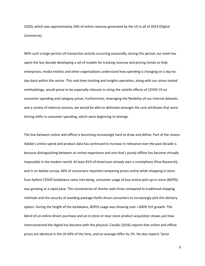2020), which was approximately 24% of online revenue generated by the US in all of 2019 (Digital Commerce).

With such a large portion of transaction activity occurring seasonally, during this period, our team has spent the last decade developing a set of models for tracking revenue and pricing trends to help enterprises, media entities and other organizations understand how spending is changing on a day-today basis within this sector. This real-time tracking and insights operation, along with our stress-tested methodology, would prove to be especially relevant in sizing the volatile effects of COVID-19 on consumer spending and category prices. Furthermore, leveraging the flexibility of our internal datasets and a variety of external sources, we would be able to delineate amongst the core attributes that were driving shifts in consumer spending, which were beginning to emerge.

The line between online and offline is becoming increasingly hard to draw and define. Part of the reason Adobe's online spend and product data has continued to increase in relevance over the past decade is because distinguishing between an online experience and one that's purely offline has become virtually impossible in the modern world. At least 81% of Americans already own a smartphone (Pew Research), and in an Adobe survey, 46% of consumers reported comparing prices online while shopping in store. Even before COVID lockdowns came into being, consumer usage of buy-online-pick-up-in-store (BOPIS) was growing at a rapid pace. The convenience of shorter wait times compared to traditional shipping methods and the security of avoiding package thefts drove consumers to increasingly pick this delivery option. During the height of the lockdowns, BOPIS usage was showing over +200% YoY growth. The blend of an online-driven purchase and an in-store or near-store product acquisition shows just how interconnected the digital has become with the physical. Cavallo (2016) reports that online and offline prices are identical in the US 69% of the time, and on average differ by 1%. He also reports "price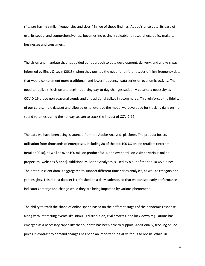*changes* having similar frequencies and sizes." In lieu of these findings, Adobe's price data, its ease of use, its speed, and comprehensiveness becomes increasingly valuable to researchers, policy makers, businesses and consumers.

The vision and mandate that has guided our approach to data development, delivery, and analysis was informed by Einav & Levin (2013), when they posited the need for different types of high-frequency data that would complement more traditional (and lower frequency) data series on economic activity. The need to realize this vision and begin reporting day-to-day changes suddenly became a necessity as COVID-19 drove non-seasonal trends and untraditional spikes in ecommerce. This reinforced the fidelity of our core sample dataset and allowed us to leverage the model we developed for tracking daily online spend volumes during the holiday season to track the impact of COVID-19.

The data we have been using is sourced from the Adobe Analytics platform. The product boasts utilization from thousands of enterprises, including 80 of the top 100 US online retailers (Internet Retailer 2018), as well as over 100 million product SKUs, and over a trillion visits to various online properties (websites & apps). Additionally, Adobe Analytics is used by 8 out of the top 10 US airlines. The opted-in client data is aggregated to support different time-series analyses, as well as category and geo insights. This robust dataset is refreshed on a daily cadence, so that we can see early performance indicators emerge and change while they are being impacted by various phenomena.

The ability to track the shape of online spend based on the different stages of the pandemic response, along with interacting events like stimulus distribution, civil protests, and lock-down regulations has emerged as a necessary capability that our data has been able to support. Additionally, tracking online prices in contrast to demand changes has been an important initiative for us to revisit. While, in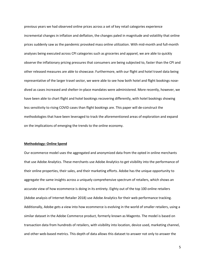previous years we had observed online prices across a set of key retail categories experience incremental changes in inflation and deflation, the changes paled in magnitude and volatility that online prices suddenly saw as the pandemic provoked mass online utilization. With mid-month and full-month analyses being executed across CPI categories such as groceries and apparel, we are able to quickly observe the inflationary pricing pressures that consumers are being subjected to, faster than the CPI and other released measures are able to showcase. Furthermore, with our flight and hotel travel data being representative of the larger travel sector, we were able to see how both hotel and flight bookings nosedived as cases increased and shelter-in-place mandates were administered. More recently, however, we have been able to chart flight and hotel bookings recovering differently, with hotel bookings showing less sensitivity to rising COVID cases than flight bookings are. This paper will de-construct the methodologies that have been leveraged to track the aforementioned areas of exploration and expand on the implications of emerging the trends to the online economy.

#### **Methodology: Online Spend**

Our ecommerce model uses the aggregated and anonymized data from the opted in online merchants that use Adobe Analytics. These merchants use Adobe Analytics to get visibility into the performance of their online properties, their sales, and their marketing efforts. Adobe has the unique opportunity to aggregate the same insights across a uniquely comprehensive spectrum of retailers, which shows an accurate view of how ecommerce is doing in its entirety. Eighty out of the top 100 online retailers (Adobe analysis of Internet Retailer 2018) use Adobe Analytics for their web performance tracking. Additionally, Adobe gets a view into how ecommerce is evolving in the world of smaller retailers, using a similar dataset in the Adobe Commerce product, formerly known as Magento. The model is based on transaction data from hundreds of retailers, with visibility into location, device used, marketing channel, and other web-based metrics. This depth of data allows this dataset to answer not only to answer the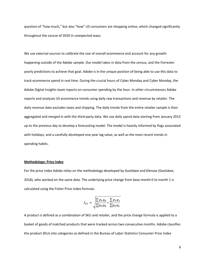question of "how much," but also "how" US consumers are shopping online, which changed significantly throughout the course of 2020 in unexpected ways.

We use external sources to calibrate the size of overall ecommerce and account for any growth happening outside of the Adobe sample. Our model takes in data from the census, and the Forrester yearly predictions to achieve that goal. Adobe is in the unique position of being able to use this data to track ecommerce spend in real time. During the crucial hours of Cyber Monday and Cyber Monday, the Adobe Digital Insights team reports on consumer spending by the hour. In other circumstances Adobe reports and analyzes US ecommerce trends using daily raw transactions and revenue by retailer. The daily revenue data excludes taxes and shipping. The daily trends from the entire retailer sample is then aggregated and merged in with the third-party data. We use daily spend data starting from January 2013 up to the previous day to develop a forecasting model. The model is heavily informed by flags associated with holidays, and a carefully developed one-year lag value, as well as the most recent trends in spending habits.

## **Methodology: Price Index**

For the price index Adobe relies on the methodology developed by Goolsbee and Klenow (Goolsbee, 2018), who worked on the same data. The underlying price change from base month 0 to month 1 is calculated using the Fisher Price Index formula:

$$
I_{01} = \sqrt{\frac{\sum p_1 q_0}{\sum p_0 q_0} \cdot \frac{\sum p_1 q_1}{\sum p_0 q_1}}
$$

A product is defined as a combination of SKU and retailer, and the price change formula is applied to a basket of goods of matched products that were tracked across two consecutive months. Adobe classifies the product SKUs into categories as defined in the Bureau of Labor Statistics Consumer Price Index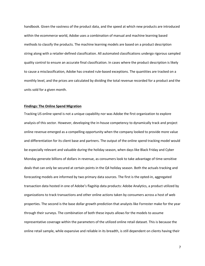handbook. Given the vastness of the product data, and the speed at which new products are introduced within the ecommerce world, Adobe uses a combination of manual and machine learning based methods to classify the products. The machine learning models are based on a product description string along with a retailer-defined classification. All automated classifications undergo rigorous sampled quality control to ensure an accurate final classification. In cases where the product description is likely to cause a misclassification, Adobe has created rule-based exceptions. The quantities are tracked on a monthly level, and the prices are calculated by dividing the total revenue recorded for a product and the units sold for a given month.

## **Findings: The Online Spend Migration**

Tracking US online spend is not a unique capability nor was Adobe the first organization to explore analysis of this sector. However, developing the in-house competency to dynamically track and project online revenue emerged as a compelling opportunity when the company looked to provide more value and differentiation for its client base and partners. The output of the online spend tracking model would be especially relevant and valuable during the holiday season, when days like Black Friday and Cyber Monday generate billions of dollars in revenue, as consumers look to take advantage of time-sensitive deals that can only be secured at certain points in the Q4 holiday season. Both the actuals tracking and forecasting models are informed by two primary data sources. The first is the opted-in, aggregated transaction data hosted in one of Adobe's flagship data products: Adobe Analytics, a product utilized by organizations to track transactions and other online actions taken by consumers across a host of web properties. The second is the base dollar growth prediction that analysts like Forrester make for the year through their surveys. The combination of both these inputs allows for the models to assume representative coverage within the parameters of the utilized online retail dataset. This is because the online retail sample, while expansive and reliable in its breadth, is still dependent on clients having their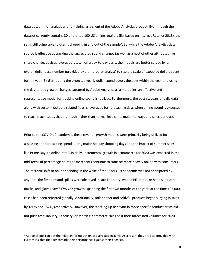data opted-in for analysis and remaining as a client of the Adobe Analytics product. Even though the dataset currently contains 80 of the top 100 US online retailers (list based on Internet Retailer 2018), the set is still vulnerable to clients dropping in and out of the sample<sup>[1](#page-7-0)</sup>. So, while the Adobe Analytics data source is effective at tracking the aggregated spend changes (as well as a host of other attributes like share change, devices leveraged. . .etc.) on a day-to-day basis, the models are better served by an overall dollar base number (provided by a third-party analyst) to size the scale of expected dollars spent for the year. By distributing the expected yearly dollar spend across the days within the year and using the day-to-day growth changes captured by Adobe Analytics as a multiplier, an effective and representative model for tracking online spend is realized. Furthermore, the past six years of daily data along with customized date related flags is leveraged for forecasting days when online spend is expected to reach magnitudes that are much higher than normal levels (i.e. major holidays and sales periods).

Prior to the COVID-19 pandemic, these revenue growth models were primarily being utilized for assessing and forecasting spend during major holiday shopping days and the impact of summer sales, like Prime Day, to online retail. Initially, incremental growth in ecommerce for 2020 was expected in the mid-teens of percentage points as merchants continue to transact more heavily online with consumers. The tectonic shift to online spending in the wake of the COVID-19 pandemic was not anticipated by anyone - the first demand spikes were observed in late February, when PPE items like hand sanitizers, masks, and gloves saw 817% YoY growth, spanning the first two months of the year, at the time 125,000 cases had been reported globally. Additionally, toilet paper and cold/flu products began surging in sales by 186% and 152%, respectively. However, the stocking-up behavior in those specific product areas did not push total January, February, or March e-commerce sales past their forecasted volumes for 2020 -

<span id="page-7-0"></span> $1$  Adobe clients can opt their data in for utilization of aggregate insights. As a result, they are also provided with custom insights that benchmark their performance against their peer set.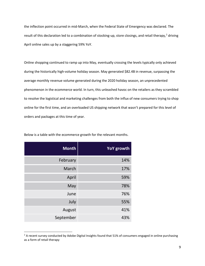the inflection point occurred in mid-March, when the Federal State of Emergency was declared. The result of this declaration led to a combination of stocking-up, store closings, and retail therapy,<sup>[2](#page-8-0)</sup> driving April online sales up by a staggering 59% YoY.

Online shopping continued to ramp up into May, eventually crossing the levels typically only achieved during the historically high-volume holiday season. May generated \$82.4B in revenue, surpassing the average monthly revenue volume generated during the 2020 holiday season, an unprecedented phenomenon in the ecommerce world. In turn, this unleashed havoc on the retailers as they scrambled to resolve the logistical and marketing challenges from both the influx of new consumers trying to shop online for the first time, and an overloaded US shipping network that wasn't prepared for this level of orders and packages at this time of year.

| <b>Month</b> | <b>YoY</b> growth |
|--------------|-------------------|
| February     | 14%               |
| March        | 17%               |
| April        | 59%               |
| May          | 78%               |
| June         | 76%               |
| July         | 55%               |
| August       | 41%               |
| September    | 43%               |

Below is a table with the ecommerce growth for the relevant months.

<span id="page-8-0"></span><sup>&</sup>lt;sup>2</sup> A recent survey conducted by Adobe Digital Insights found that 51% of consumers engaged in online purchasing as a form of retail therapy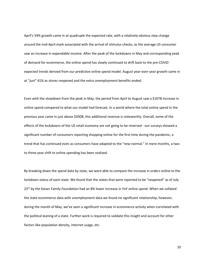April's 59% growth came in at quadruple the expected rate, with a relatively obvious step change around the mid-April mark associated with the arrival of stimulus checks, as the average US consumer saw an increase in expendable income. After the peak of the lockdowns in May and corresponding peak of demand for ecommerce, the online spend has slowly continued to drift back to the pre-COVID expected trends derived from our predictive online spend model. August year-over-year growth came in at "*just"* 41% as stores reopened and the extra unemployment benefits ended.

Even with the slowdown from the peak in May, the period from April to August saw a \$107B increase in online spend compared to what our model had forecast. In a world where the total online spend in the previous year came in just above \$500B, this additional revenue is noteworthy. Overall, some of the effects of the lockdowns of the US retail economy are not going to be reversed - our surveys showed a significant number of consumers reporting shopping online for the first time during the pandemic, a trend that has continued even as consumers have adapted to the "new normal." In mere months, a twoto three-year shift to online spending has been realized.

By breaking down the spend data by state, we were able to compare the increase in orders online to the lockdown status of each state. We found that the states that were reported to be "reopened" as of July 23<sup>rd</sup> by the Kaiser Family Foundation had an 8% lower increase in YoY online spend. When we collated the state ecommerce data with unemployment data we found no significant relationship, however, during the month of May, we've seen a significant increase in ecommerce activity when correlated with the political leaning of a state. Further work is required to validate this insight and account for other factors like population density, internet usage, etc.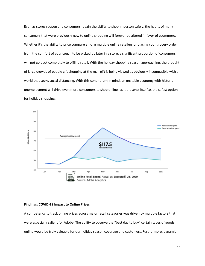Even as stores reopen and consumers regain the ability to shop in-person safely, the habits of many consumers that were previously new to online shopping will forever be altered in favor of ecommerce. Whether it's the ability to price compare among multiple online retailers or placing your grocery order from the comfort of your couch to be picked up later in a store, a significant proportion of consumers will not go back completely to offline retail. With the holiday shopping season approaching, the thought of large crowds of people gift shopping at the mall gift is being viewed as obviously incompatible with a world that seeks social distancing. With this conundrum in mind, an unstable economy with historic unemployment will drive even more consumers to shop online, as it presents itself as the safest option for holiday shopping.



### **Findings: COVID-19 Impact to Online Prices**

A competency to track online prices across major retail categories was driven by multiple factors that were especially salient for Adobe. The ability to observe the "best day to buy" certain types of goods online would be truly valuable for our holiday season coverage and customers. Furthermore, dynamic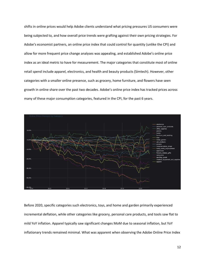shifts in online prices would help Adobe clients understand what pricing pressures US consumers were being subjected to, and how overall price trends were grafting against their own pricing strategies. For Adobe's economist partners, an online price index that could control for quantity (unlike the CPI) and allow for more frequent price change analyses was appealing, and established Adobe's online price index as an ideal metric to have for measurement. The major categories that constitute most of online retail spend include apparel, electronics, and health and beauty products (Simtech). However, other categories with a smaller online presence, such as grocery, home furniture, and flowers have seen growth in online share over the past two decades. Adobe's online price index has tracked prices across many of these major consumption categories, featured in the CPI, for the past 6 years.



Before 2020, specific categories such electronics, toys, and home and garden primarily experienced incremental deflation, while other categories like grocery, personal care products, and tools saw flat to mild YoY inflation. Apparel typically saw significant changes MoM due to seasonal inflation, but YoY inflationary trends remained minimal. What was apparent when observing the Adobe Online Price Index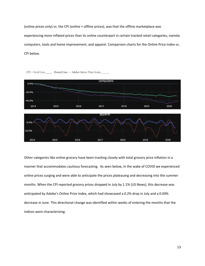(online prices only) vs. the CPI (online + offline prices), was that the offline marketplace was experiencing more inflated prices than its online counterpart in certain tracked retail categories, namely computers, tools and home improvement, and apparel. Comparison charts for the Online Price Index vs. CPI below.



 $CPI =$  Solid Line \_\_\_\_\_. Dotted Line = Adobe Online Price Index \_\_\_\_

Other categories like online grocery have been tracking closely with total grocery price inflation in a manner that accommodates cautious forecasting. As seen below, in the wake of COVID we experienced online prices surging and were able to anticipate the prices plateauing and decreasing into the summer months. When the CPI reported grocery prices dropped in July by 1.1% (US News), this decrease was anticipated by Adobe's Online Price Index, which had showcased a 0.2% drop in July and a 0.04% decrease in June. This directional change was identified within weeks of entering the months that the indices were characterizing.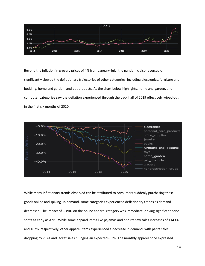

Beyond the inflation in grocery prices of 4% from January-July, the pandemic also reversed or significantly slowed the deflationary trajectories of other categories, including electronics, furniture and bedding, home and garden, and pet products. As the chart below highlights, home and garden, and computer categories saw the deflation experienced through the back half of 2019 effectively wiped out in the first six months of 2020.



While many inflationary trends observed can be attributed to consumers suddenly purchasing these goods online and spiking up demand, some categories experienced deflationary trends as demand decreased. The impact of COVID on the online apparel category was immediate, driving significant price shifts as early as April. While some apparel items like pajamas and t-shirts saw sales increases of +143% and +67%, respectively, other apparel items experienced a decrease in demand, with pants sales dropping by -13% and jacket sales plunging an expected -33%. The monthly apparel price expressed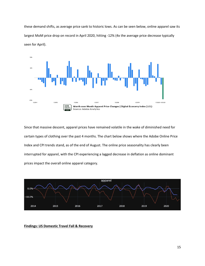these demand shifts, as average price sank to historic lows. As can be seen below, online apparel saw its largest MoM price drop on record in April 2020, hitting -12% (4x the average price decrease typically seen for April).



Since that massive descent, apparel prices have remained volatile in the wake of diminished need for certain types of clothing over the past 4 months. The chart below shows where the Adobe Online Price Index and CPI trends stand, as of the end of August. The online price seasonality has clearly been interrupted for apparel, with the CPI experiencing a lagged decrease in deflation as online dominant prices impact the overall online apparel category.



**Findings: US Domestic Travel Fall & Recovery**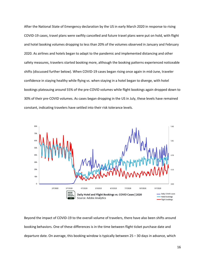After the National State of Emergency declaration by the US in early March 2020 in response to rising COVID-19 cases, travel plans were swiftly cancelled and future travel plans were put on hold, with flight and hotel booking volumes dropping to less than 20% of the volumes observed in January and February 2020. As airlines and hotels began to adapt to the pandemic and implemented distancing and other safety measures, travelers started booking more, although the booking patterns experienced noticeable shifts (discussed further below). When COVID-19 cases began rising once again in mid-June, traveler confidence in staying healthy while flying vs. when staying in a hotel began to diverge, with hotel bookings plateauing around 55% of the pre-COVID volumes while flight bookings again dropped down to 30% of their pre-COVID volumes. As cases began dropping in the US in July, these levels have remained constant, indicating travelers have settled into their risk tolerance levels.



Beyond the impact of COVID-19 to the overall volume of travelers, there have also been shifts around booking behaviors. One of these differences is in the time between flight ticket purchase date and departure date. On average, this booking window is typically between 25 – 30 days in advance, which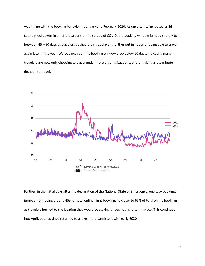was in line with the booking behavior in January and February 2020. As uncertainty increased amid country lockdowns in an effort to control the spread of COVID, the booking window jumped sharply to between 45 – 50 days as travelers pushed their travel plans further out in hopes of being able to travel again later in the year. We've since seen the booking window drop below 20 days, indicating many travelers are now only choosing to travel under more urgent situations, or are making a last-minute decision to travel.



Further, in the initial days after the declaration of the National State of Emergency, one-way bookings jumped from being around 45% of total online flight bookings to closer to 65% of total online bookings as travelers hurried to the location they would be staying throughout shelter-in-place. This continued into April, but has since returned to a level more consistent with early 2020.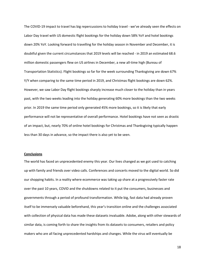The COVID-19 impact to travel has big repercussions to holiday travel - we've already seen the effects on Labor Day travel with US domestic flight bookings for the holiday down 58% YoY and hotel bookings down 20% YoY. Looking forward to travelling for the holiday season in November and December, it is doubtful given the current circumstances that 2019 levels will be reached - in 2019 an estimated 68.6 million domestic passengers flew on US airlines in December, a new all-time high (Bureau of Transportation Statistics). Flight bookings so far for the week surrounding Thanksgiving are down 67% Y/Y when comparing to the same time period in 2019, and Christmas flight bookings are down 62%. However, we saw Labor Day flight bookings sharply increase much closer to the holiday than in years past, with the two weeks leading into the holiday generating 60% more bookings than the two weeks prior. In 2019 the same time period only generated 45% more bookings, so it is likely that early performance will not be representative of overall performance. Hotel bookings have not seen as drastic of an impact, but, nearly 70% of online hotel bookings for Christmas and Thanksgiving typically happen less than 30 days in advance, so the impact there is also yet to be seen.

#### **Conclusions**

The world has faced an unprecedented enemy this year. Our lives changed as we got used to catching up with family and friends over video calls. Conferences and concerts moved to the digital world. So did our shopping habits. In a reality where ecommerce was taking up share at a progressively faster rate over the past 10 years, COVID and the shutdowns related to it put the consumers, businesses and governments through a period of profound transformation. While big, fast data had already proven itself to be immensely valuable beforehand, this year's transition online and the challenges associated with collection of physical data has made these datasets invaluable. Adobe, along with other stewards of similar data, is coming forth to share the insights from its datasets to consumers, retailers and policy makers who are all facing unprecedented hardships and changes. While the virus will eventually be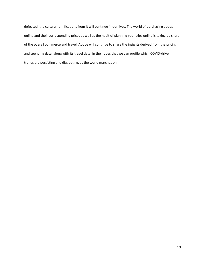defeated, the cultural ramifications from it will continue in our lives. The world of purchasing goods online and their corresponding prices as well as the habit of planning your trips online is taking up share of the overall commerce and travel. Adobe will continue to share the insights derived from the pricing and spending data, along with its travel data, in the hopes that we can profile which COVID-driven trends are persisting and dissipating, as the world marches on.